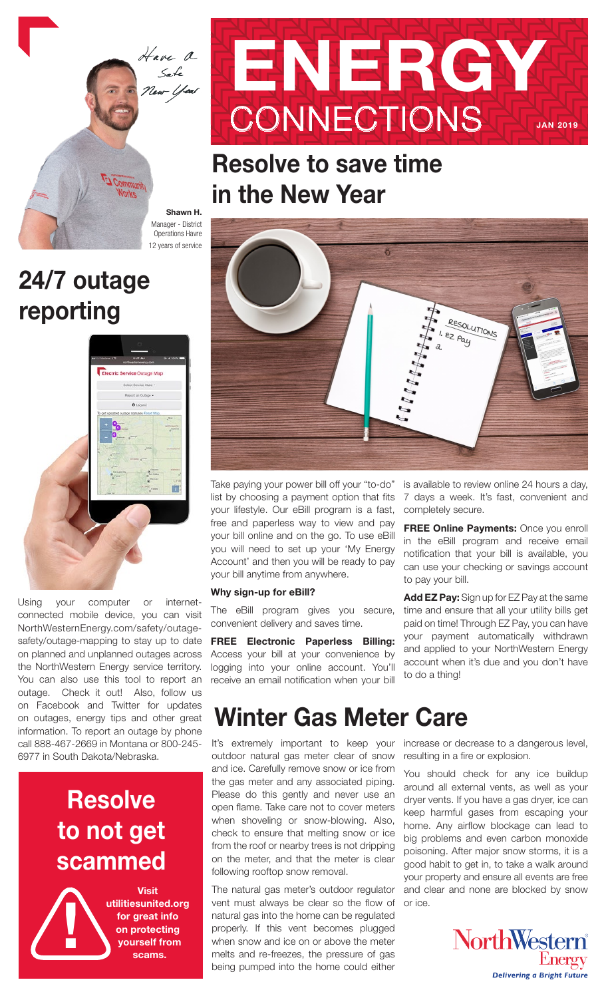

# 24/7 outage reporting



Using your computer or internetconnected mobile device, you can visit NorthWesternEnergy.com/safety/outagesafety/outage-mapping to stay up to date on planned and unplanned outages across the NorthWestern Energy service territory. You can also use this tool to report an outage. Check it out! Also, follow us on Facebook and Twitter for updates on outages, energy tips and other great information. To report an outage by phone call 888-467-2669 in Montana or 800-245- 6977 in South Dakota/Nebraska.

## **Resolve** to not get scammed



Visit utilitiesunited.org for great info on protecting yourself from scams.



## Resolve to save time in the New Year



Take paying your power bill off your "to-do" list by choosing a payment option that fits your lifestyle. Our eBill program is a fast, free and paperless way to view and pay your bill online and on the go. To use eBill you will need to set up your 'My Energy Account' and then you will be ready to pay your bill anytime from anywhere.

#### Why sign-up for eBill?

The eBill program gives you secure, convenient delivery and saves time.

FREE Electronic Paperless Billing: Access your bill at your convenience by logging into your online account. You'll receive an email notification when your bill is available to review online 24 hours a day, 7 days a week. It's fast, convenient and completely secure.

FREE Online Payments: Once you enroll in the eBill program and receive email notification that your bill is available, you can use your checking or savings account to pay your bill.

Add EZ Pay: Sign up for EZ Pay at the same time and ensure that all your utility bills get paid on time! Through EZ Pay, you can have your payment automatically withdrawn and applied to your NorthWestern Energy account when it's due and you don't have to do a thing!

### Winter Gas Meter Care

It's extremely important to keep your increase or decrease to a dangerous level, outdoor natural gas meter clear of snow and ice. Carefully remove snow or ice from the gas meter and any associated piping. Please do this gently and never use an open flame. Take care not to cover meters when shoveling or snow-blowing. Also, check to ensure that melting snow or ice from the roof or nearby trees is not dripping on the meter, and that the meter is clear following rooftop snow removal.

The natural gas meter's outdoor regulator vent must always be clear so the flow of natural gas into the home can be regulated properly. If this vent becomes plugged when snow and ice on or above the meter melts and re-freezes, the pressure of gas being pumped into the home could either

resulting in a fire or explosion.

You should check for any ice buildup around all external vents, as well as your dryer vents. If you have a gas dryer, ice can keep harmful gases from escaping your home. Any airflow blockage can lead to big problems and even carbon monoxide poisoning. After major snow storms, it is a good habit to get in, to take a walk around your property and ensure all events are free and clear and none are blocked by snow or ice.